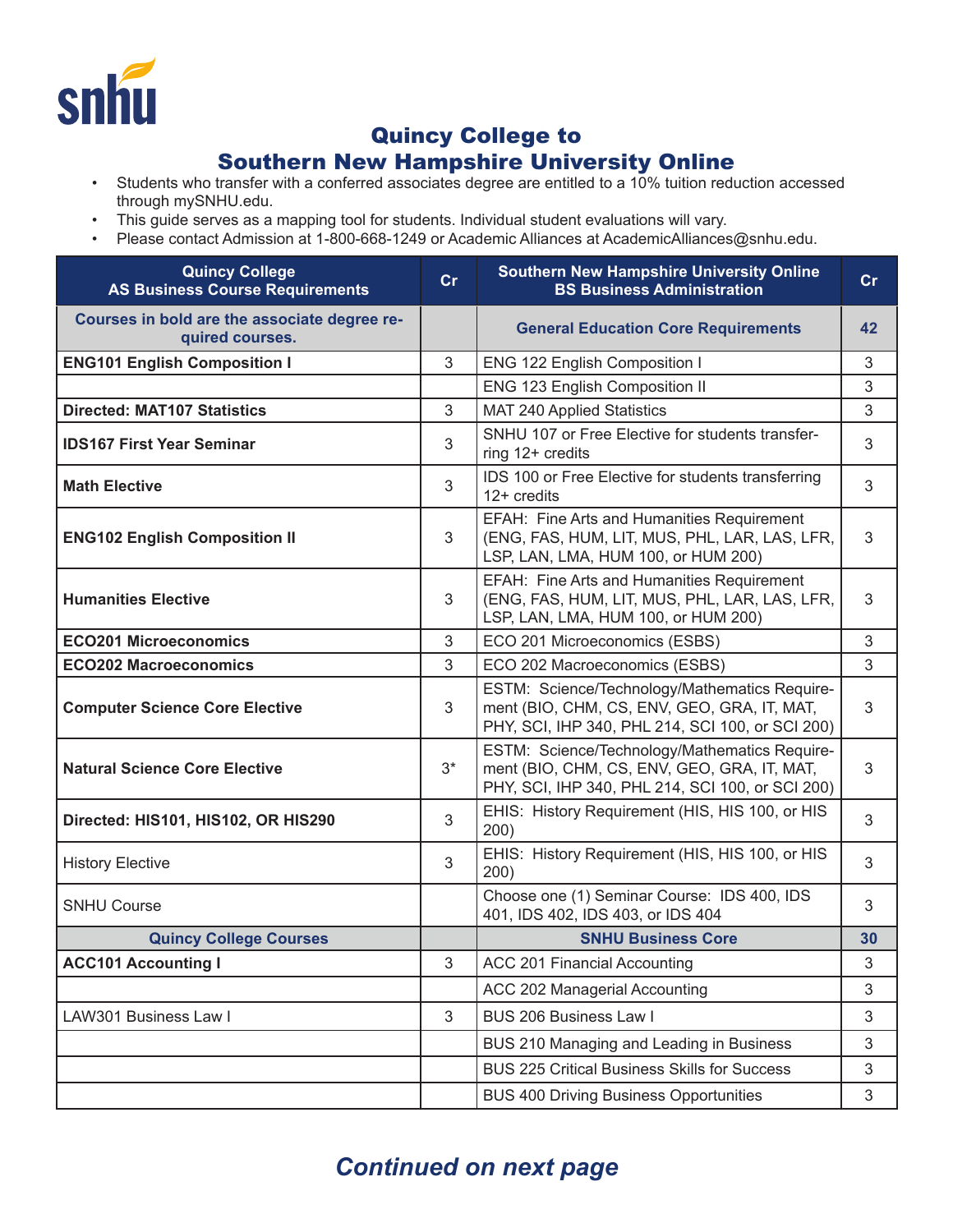

## Quincy College to

## Southern New Hampshire University Online

- Students who transfer with a conferred associates degree are entitled to a 10% tuition reduction accessed through mySNHU.edu.
- This guide serves as a mapping tool for students. Individual student evaluations will vary.
- Please contact Admission at 1-800-668-1249 or Academic Alliances at AcademicAlliances@snhu.edu.

| <b>Quincy College</b><br><b>AS Business Course Requirements</b> | cr    | <b>Southern New Hampshire University Online</b><br><b>BS Business Administration</b>                                                             | cr |
|-----------------------------------------------------------------|-------|--------------------------------------------------------------------------------------------------------------------------------------------------|----|
| Courses in bold are the associate degree re-<br>quired courses. |       | <b>General Education Core Requirements</b>                                                                                                       | 42 |
| <b>ENG101 English Composition I</b>                             | 3     | ENG 122 English Composition I                                                                                                                    | 3  |
|                                                                 |       | ENG 123 English Composition II                                                                                                                   | 3  |
| <b>Directed: MAT107 Statistics</b>                              | 3     | MAT 240 Applied Statistics                                                                                                                       | 3  |
| <b>IDS167 First Year Seminar</b>                                | 3     | SNHU 107 or Free Elective for students transfer-<br>ring 12+ credits                                                                             | 3  |
| <b>Math Elective</b>                                            | 3     | IDS 100 or Free Elective for students transferring<br>$12+$ credits                                                                              | 3  |
| <b>ENG102 English Composition II</b>                            | 3     | EFAH: Fine Arts and Humanities Requirement<br>(ENG, FAS, HUM, LIT, MUS, PHL, LAR, LAS, LFR,<br>LSP, LAN, LMA, HUM 100, or HUM 200)               | 3  |
| <b>Humanities Elective</b>                                      | 3     | EFAH: Fine Arts and Humanities Requirement<br>(ENG, FAS, HUM, LIT, MUS, PHL, LAR, LAS, LFR,<br>LSP, LAN, LMA, HUM 100, or HUM 200)               | 3  |
| <b>ECO201 Microeconomics</b>                                    | 3     | ECO 201 Microeconomics (ESBS)                                                                                                                    | 3  |
| <b>ECO202 Macroeconomics</b>                                    | 3     | ECO 202 Macroeconomics (ESBS)                                                                                                                    | 3  |
| <b>Computer Science Core Elective</b>                           | 3     | ESTM: Science/Technology/Mathematics Require-<br>ment (BIO, CHM, CS, ENV, GEO, GRA, IT, MAT,<br>PHY, SCI, IHP 340, PHL 214, SCI 100, or SCI 200) | 3  |
| <b>Natural Science Core Elective</b>                            | $3^*$ | ESTM: Science/Technology/Mathematics Require-<br>ment (BIO, CHM, CS, ENV, GEO, GRA, IT, MAT,<br>PHY, SCI, IHP 340, PHL 214, SCI 100, or SCI 200) | 3  |
| Directed: HIS101, HIS102, OR HIS290                             | 3     | EHIS: History Requirement (HIS, HIS 100, or HIS<br>200)                                                                                          | 3  |
| <b>History Elective</b>                                         | 3     | EHIS: History Requirement (HIS, HIS 100, or HIS<br>200)                                                                                          | 3  |
| <b>SNHU Course</b>                                              |       | Choose one (1) Seminar Course: IDS 400, IDS<br>401, IDS 402, IDS 403, or IDS 404                                                                 | 3  |
| <b>Quincy College Courses</b>                                   |       | <b>SNHU Business Core</b>                                                                                                                        | 30 |
| <b>ACC101 Accounting I</b>                                      | 3     | ACC 201 Financial Accounting                                                                                                                     | 3  |
|                                                                 |       | ACC 202 Managerial Accounting                                                                                                                    | 3  |
| LAW301 Business Law I                                           | 3     | <b>BUS 206 Business Law I</b>                                                                                                                    | 3  |
|                                                                 |       | BUS 210 Managing and Leading in Business                                                                                                         | 3  |
|                                                                 |       | <b>BUS 225 Critical Business Skills for Success</b>                                                                                              | 3  |
|                                                                 |       | <b>BUS 400 Driving Business Opportunities</b>                                                                                                    | 3  |

## *Continued on next page*